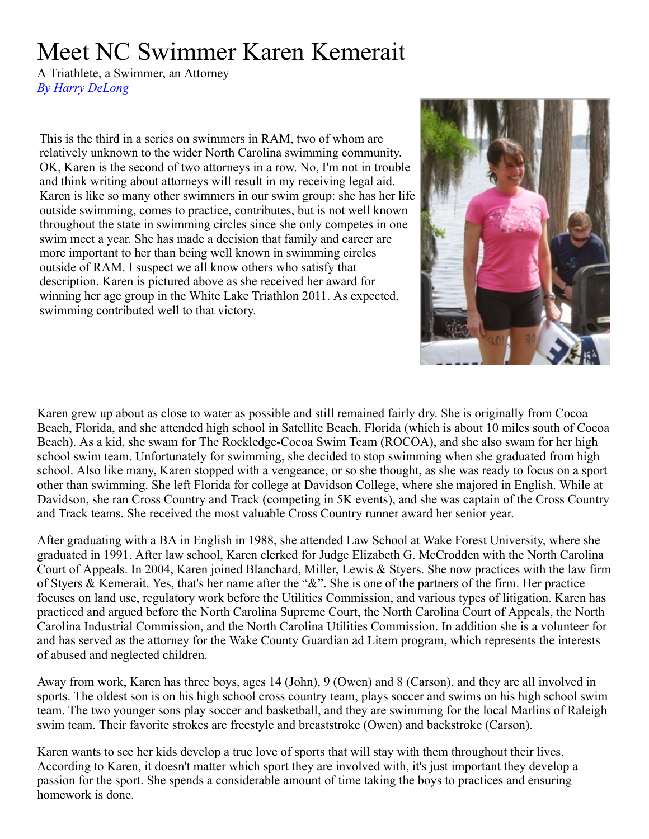## Meet NC Swimmer Karen Kemerait

A Triathlete, a Swimmer, an Attorney *By Harry DeLong*

This is the third in a series on swimmers in RAM, two of whom are relatively unknown to the wider North Carolina swimming community. OK, Karen is the second of two attorneys in a row. No, I'm not in trouble and think writing about attorneys will result in my receiving legal aid. Karen is like so many other swimmers in our swim group: she has her life outside swimming, comes to practice, contributes, but is not well known throughout the state in swimming circles since she only competes in one swim meet a year. She has made a decision that family and career are more important to her than being well known in swimming circles outside of RAM. I suspect we all know others who satisfy that description. Karen is pictured above as she received her award for winning her age group in the White Lake Triathlon 2011. As expected, swimming contributed well to that victory.



Karen grew up about as close to water as possible and still remained fairly dry. She is originally from Cocoa Beach, Florida, and she attended high school in Satellite Beach, Florida (which is about 10 miles south of Cocoa Beach). As a kid, she swam for The Rockledge-Cocoa Swim Team (ROCOA), and she also swam for her high school swim team. Unfortunately for swimming, she decided to stop swimming when she graduated from high school. Also like many, Karen stopped with a vengeance, or so she thought, as she was ready to focus on a sport other than swimming. She left Florida for college at Davidson College, where she majored in English. While at Davidson, she ran Cross Country and Track (competing in 5K events), and she was captain of the Cross Country and Track teams. She received the most valuable Cross Country runner award her senior year.

After graduating with a BA in English in 1988, she attended Law School at Wake Forest University, where she graduated in 1991. After law school, Karen clerked for Judge Elizabeth G. McCrodden with the North Carolina Court of Appeals. In 2004, Karen joined Blanchard, Miller, Lewis & Styers. She now practices with the law firm of Styers & Kemerait. Yes, that's her name after the "&". She is one of the partners of the firm. Her practice focuses on land use, regulatory work before the Utilities Commission, and various types of litigation. Karen has practiced and argued before the North Carolina Supreme Court, the North Carolina Court of Appeals, the North Carolina Industrial Commission, and the North Carolina Utilities Commission. In addition she is a volunteer for and has served as the attorney for the Wake County Guardian ad Litem program, which represents the interests of abused and neglected children.

Away from work, Karen has three boys, ages 14 (John), 9 (Owen) and 8 (Carson), and they are all involved in sports. The oldest son is on his high school cross country team, plays soccer and swims on his high school swim team. The two younger sons play soccer and basketball, and they are swimming for the local Marlins of Raleigh swim team. Their favorite strokes are freestyle and breaststroke (Owen) and backstroke (Carson).

Karen wants to see her kids develop a true love of sports that will stay with them throughout their lives. According to Karen, it doesn't matter which sport they are involved with, it's just important they develop a passion for the sport. She spends a considerable amount of time taking the boys to practices and ensuring homework is done.